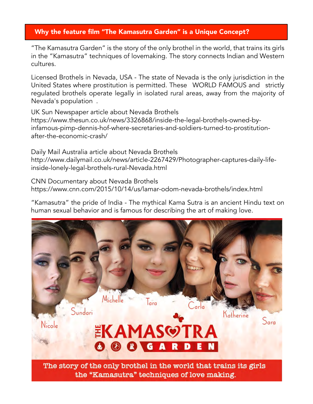## Why the feature film "The Kamasutra Garden" is a Unique Concept?

"The Kamasutra Garden" is the story of the only brothel in the world, that trains its girls in the "Kamasutra" techniques of lovemaking. The story connects Indian and Western cultures.

Licensed Brothels in Nevada, USA - The state of Nevada is the only jurisdiction in the United States where prostitution is permitted. These WORLD FAMOUS and strictly regulated brothels operate legally in isolated rural areas, away from the majority of Nevada's population .

UK Sun Newspaper article about Nevada Brothels https://www.thesun.co.uk/news/3326868/inside-the-legal-brothels-owned-byinfamous-pimp-dennis-hof-where-secretaries-and-soldiers-turned-to-prostitutionafter-the-economic-crash/

Daily Mail Australia article about Nevada Brothels http://www.dailymail.co.uk/news/article-2267429/Photographer-captures-daily-lifeinside-lonely-legal-brothels-rural-Nevada.html

CNN Documentary about Nevada Brothels https://www.cnn.com/2015/10/14/us/lamar-odom-nevada-brothels/index.html

"Kamasutra" the pride of India - The mythical Kama Sutra is an ancient Hindu text on human sexual behavior and is famous for describing the art of making love.



the "Kamasutra" techniques of love making.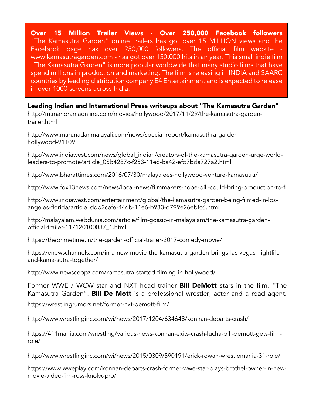Over 15 Million Trailer Views - Over 250,000 Facebook followers "The Kamasutra Garden" online trailers has got over 15 MILLION views and the Facebook page has over 250,000 followers. The official film website www.kamasutragarden.com - has got over 150,000 hits in an year. This small indie film "The Kamasutra Garden" is more popular worldwide that many studio films that have spend millions in production and marketing. The film is releasing in INDIA and SAARC countries by leading distribution company E4 Entertainment and is expected to release in over 1000 screens across India.

Leading Indian and International Press writeups about "The Kamasutra Garden"

http://m.manoramaonline.com/movies/hollywood/2017/11/29/the-kamasutra-gardentrailer.html

http://www.marunadanmalayali.com/news/special-report/kamasuthra-gardenhollywood-91109

http://www.indiawest.com/news/global\_indian/creators-of-the-kamasutra-garden-urge-worldleaders-to-promote/article\_05b4287c-f253-11e6-ba42-efd7bda727a2.html

http://www.bharattimes.com/2016/07/30/malayalees-hollywood-venture-kamasutra/

http://www.fox13news.com/news/local-news/filmmakers-hope-bill-could-bring-production-to-fl

http://www.indiawest.com/entertainment/global/the-kamasutra-garden-being-filmed-in-losangeles-florida/article\_ddb2cefe-446b-11e6-b933-d799e26ebfc6.html

http://malayalam.webdunia.com/article/film-gossip-in-malayalam/the-kamasutra-gardenofficial-trailer-117120100037\_1.html

https://theprimetime.in/the-garden-official-trailer-2017-comedy-movie/

https://enewschannels.com/in-a-new-movie-the-kamasutra-garden-brings-las-vegas-nightlifeand-kama-sutra-together/

http://www.newscoopz.com/kamasutra-started-filming-in-hollywood/

Former WWE / WCW star and NXT head trainer **Bill DeMott** stars in the film, "The Kamasutra Garden". Bill De Mott is a professional wrestler, actor and a road agent.

https://wrestlingrumors.net/former-nxt-demott-film/

http://www.wrestlinginc.com/wi/news/2017/1204/634648/konnan-departs-crash/

https://411mania.com/wrestling/various-news-konnan-exits-crash-lucha-bill-demott-gets-filmrole/

http://www.wrestlinginc.com/wi/news/2015/0309/590191/erick-rowan-wrestlemania-31-role/

https://www.wweplay.com/konnan-departs-crash-former-wwe-star-plays-brothel-owner-in-newmovie-video-jim-ross-knokx-pro/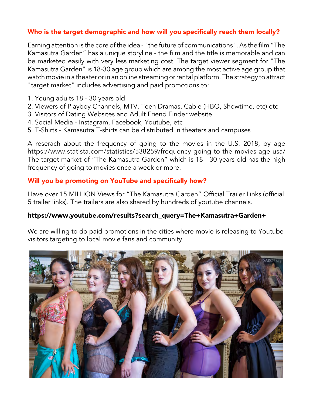# Who is the target demographic and how will you specifically reach them locally?

Earning attention is the core of the idea - "the future of communications".As the film "The Kamasutra Garden" has a unique storyline - the film and the title is memorable and can be marketed easily with very less marketing cost. The target viewer segment for "The Kamasutra Garden" is 18-30 age group which are among the most active age group that watch movie in a theater or in an online streaming or rental platform. The strategy to attract "target market" includes advertising and paid promotions to:

- 1. Young adults 18 30 years old
- 2. Viewers of Playboy Channels, MTV, Teen Dramas, Cable (HBO, Showtime, etc) etc
- 3. Visitors of Dating Websites and Adult Friend Finder website
- 4. Social Media Instagram, Facebook, Youtube, etc
- 5. T-Shirts Kamasutra T-shirts can be distributed in theaters and campuses

A reserach about the frequency of going to the movies in the U.S. 2018, by age https://www.statista.com/statistics/538259/frequency-going-to-the-movies-age-usa/ The target market of "The Kamasutra Garden" which is 18 - 30 years old has the high frequency of going to movies once a week or more.

#### Will you be promoting on YouTube and specifically how?

Have over 15 MILLION Views for "The Kamasutra Garden" Official Trailer Links (official 5 trailer links). The trailers are also shared by hundreds of youtube channels.

#### https://www.youtube.com/results?search\_query=The+Kamasutra+Garden+

We are willing to do paid promotions in the cities where movie is releasing to Youtube visitors targeting to local movie fans and community.

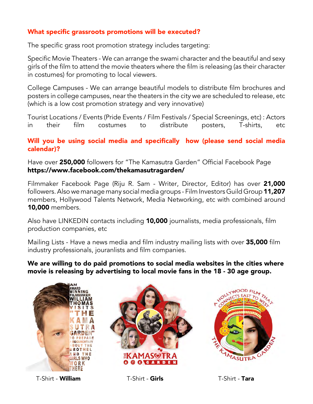# What specific grassroots promotions will be executed?

The specific grass root promotion strategy includes targeting:

Specific Movie Theaters - We can arrange the swami character and the beautiful and sexy girls of the film to attend the movie theaters where the film is releasing (as their character in costumes) for promoting to local viewers.

College Campuses - We can arrange beautiful models to distribute film brochures and posters in college campuses, near the theaters in the city we are scheduled to release, etc (which is a low cost promotion strategy and very innovative)

Tourist Locations / Events (Pride Events / Film Festivals / Special Screenings, etc) : Actors in their film costumes to distribute posters, T-shirts, etc

### Will you be using social media and specifically how (please send social media calendar)?

Have over 250,000 followers for "The Kamasutra Garden" Official Facebook Page https://www.facebook.com/thekamasutragarden/

Filmmaker Facebook Page (Riju R. Sam - Writer, Director, Editor) has over 21,000 followers.Also we manage many social media groups - Film Investors Guild Group 11,207 members, Hollywood Talents Network, Media Networking, etc with combined around 10,000 members.

Also have LINKEDIN contacts including 10,000 journalists, media professionals, film production companies, etc

Mailing Lists - Have a news media and film industry mailing lists with over 35,000 film industry professionals, jouranlists and film companies.

We are willing to do paid promotions to social media websites in the cities where movie is releasing by advertising to local movie fans in the 18 - 30 age group.



T-Shirt - William T-Shirt - Girls T-Shirt - Tara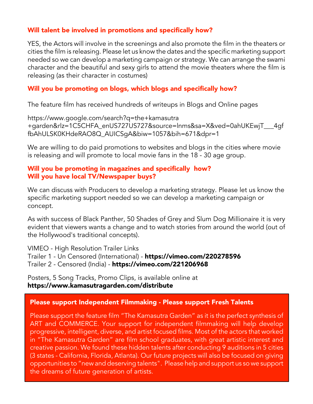## Will talent be involved in promotions and specifically how?

YES, the Actors will involve in the screenings and also promote the film in the theaters or cities the film is releasing. Please let us know the dates and the specific marketing support needed so we can develop a marketing campaign or strategy. We can arrange the swami character and the beautiful and sexy girls to attend the movie theaters where the film is releasing (as their character in costumes)

## Will you be promoting on blogs, which blogs and specifically how?

The feature film has received hundreds of writeups in Blogs and Online pages

https://www.google.com/search?q=the+kamasutra +garden&rlz=1C5CHFA\_enUS727US727&source=lnms&sa=X&ved=0ahUKEwjT\_\_\_4gf fbAhULSK0KHdeRAO8Q\_AUICSgA&biw=1057&bih=671&dpr=1

We are willing to do paid promotions to websites and blogs in the cities where movie is releasing and will promote to local movie fans in the 18 - 30 age group.

### Will you be promoting in magazines and specifically how? Will you have local TV/Newspaper buys?

We can discuss with Producers to develop a marketing strategy. Please let us know the specific marketing support needed so we can develop a marketing campaign or concept.

As with success of Black Panther, 50 Shades of Grey and Slum Dog Millionaire it is very evident that viewers wants a change and to watch stories from around the world (out of the Hollywood's traditional concepts).

VIMEO - High Resolution Trailer Links Trailer 1 - Un Censored (International) - https://vimeo.com/220278596 Trailer 2 - Censored (India) - https://vimeo.com/221206968

Posters, 5 Song Tracks, Promo Clips, is available online at https://www.kamasutragarden.com/distribute

### Please support Independent Filmmaking - Please support Fresh Talents

Please support the feature film "The Kamasutra Garden" as it is the perfect synthesis of ART and COMMERCE. Your support for independent filmmaking will help develop progressive, intelligent, diverse, and artist focused films. Most of the actors that worked in "The Kamasutra Garden" are film school graduates, with great artistic interest and creative passion. We found these hidden talents after conducting 9 auditions in 5 cities (3 states - California, Florida, Atlanta). Our future projects will also be focused on giving opportunities to "new and deserving talents". Please help and support us so we support the dreams of future generation of artists.